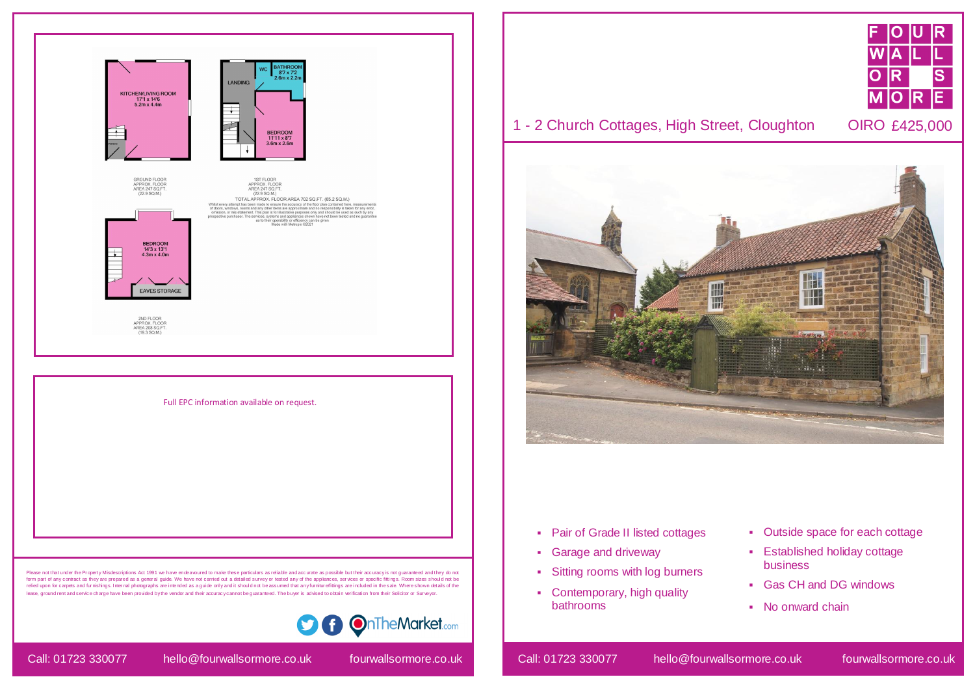## 1 - 2 Church Cottages, High Street, Cloughton OIRO £425,000



- Pair of Grade II listed cottages
- **Garage and driveway**
- Sitting rooms with log burners
- Contemporary, high quality bathrooms

Call: 01723 330077 hello@fourwallsormore.co.uk fourwallsormore.co.uk Call: 01723 330077 hello@fourwallsormore.co.uk fourwallsormore.co.uk



- Outside space for each cottage
- Established holiday cottage business
- Gas CH and DG windows
- No onward chain